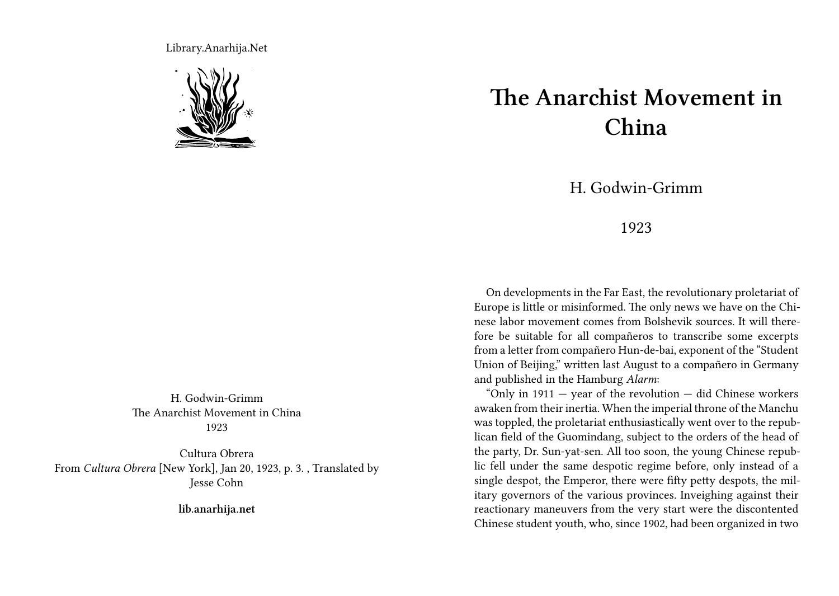Library.Anarhija.Net



H. Godwin-Grimm The Anarchist Movement in China 1923

Cultura Obrera From *Cultura Obrera* [New York], Jan 20, 1923, p. 3. , Translated by Jesse Cohn

**lib.anarhija.net**

## **The Anarchist Movement in China**

H. Godwin-Grimm

## 1923

On developments in the Far East, the revolutionary proletariat of Europe is little or misinformed. The only news we have on the Chinese labor movement comes from Bolshevik sources. It will therefore be suitable for all compañeros to transcribe some excerpts from a letter from compañero Hun-de-bai, exponent of the "Student Union of Beijing," written last August to a compañero in Germany and published in the Hamburg *Alarm*:

"Only in  $1911 -$  year of the revolution  $-$  did Chinese workers awaken from their inertia. When the imperial throne of the Manchu was toppled, the proletariat enthusiastically went over to the republican field of the Guomindang, subject to the orders of the head of the party, Dr. Sun-yat-sen. All too soon, the young Chinese republic fell under the same despotic regime before, only instead of a single despot, the Emperor, there were fifty petty despots, the military governors of the various provinces. Inveighing against their reactionary maneuvers from the very start were the discontented Chinese student youth, who, since 1902, had been organized in two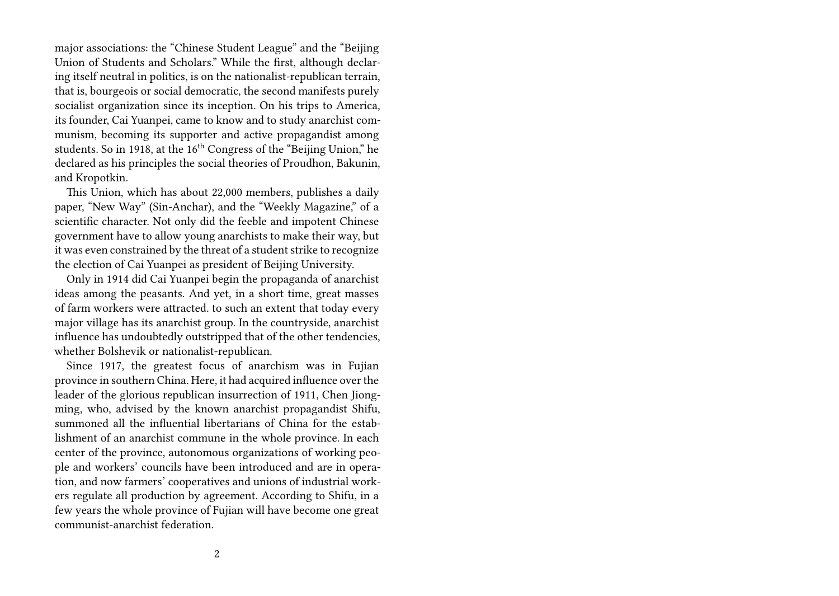major associations: the "Chinese Student League" and the "Beijing Union of Students and Scholars." While the first, although declaring itself neutral in politics, is on the nationalist-republican terrain, that is, bourgeois or social democratic, the second manifests purely socialist organization since its inception. On his trips to America, its founder, Cai Yuanpei, came to know and to study anarchist communism, becoming its supporter and active propagandist among students. So in 1918, at the 16<sup>th</sup> Congress of the "Beijing Union," he declared as his principles the social theories of Proudhon, Bakunin, and Kropotkin.

This Union, which has about 22,000 members, publishes a daily paper, "New Way" (Sin-Anchar), and the "Weekly Magazine," of a scientific character. Not only did the feeble and impotent Chinese government have to allow young anarchists to make their way, but it was even constrained by the threat of a student strike to recognize the election of Cai Yuanpei as president of Beijing University.

Only in 1914 did Cai Yuanpei begin the propaganda of anarchist ideas among the peasants. And yet, in a short time, great masses of farm workers were attracted. to such an extent that today every major village has its anarchist group. In the countryside, anarchist influence has undoubtedly outstripped that of the other tendencies, whether Bolshevik or nationalist-republican.

Since 1917, the greatest focus of anarchism was in Fujian province in southern China. Here, it had acquired influence over the leader of the glorious republican insurrection of 1911, Chen Jiongming, who, advised by the known anarchist propagandist Shifu, summoned all the influential libertarians of China for the establishment of an anarchist commune in the whole province. In each center of the province, autonomous organizations of working people and workers' councils have been introduced and are in operation, and now farmers' cooperatives and unions of industrial workers regulate all production by agreement. According to Shifu, in a few years the whole province of Fujian will have become one great communist-anarchist federation.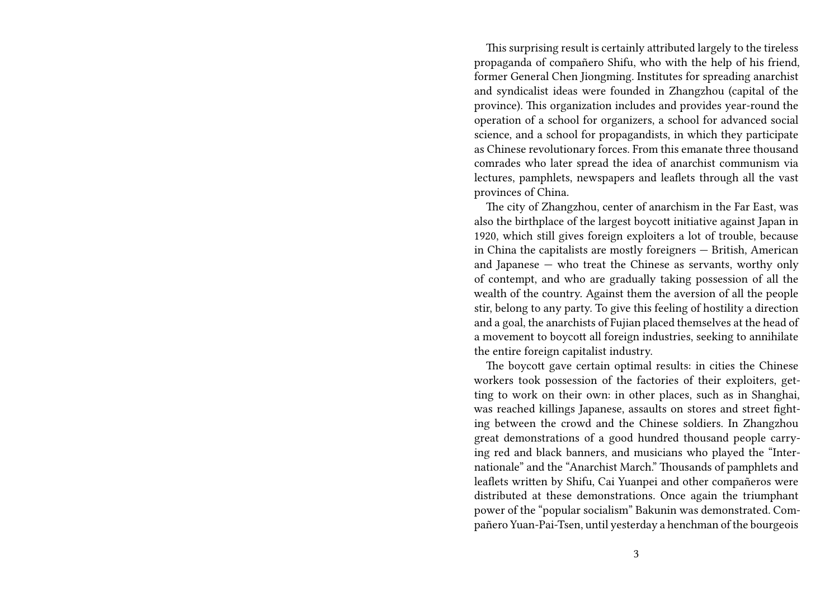This surprising result is certainly attributed largely to the tireless propaganda of compañero Shifu, who with the help of his friend, former General Chen Jiongming. Institutes for spreading anarchist and syndicalist ideas were founded in Zhangzhou (capital of the province). This organization includes and provides year-round the operation of a school for organizers, a school for advanced social science, and a school for propagandists, in which they participate as Chinese revolutionary forces. From this emanate three thousand comrades who later spread the idea of anarchist communism via lectures, pamphlets, newspapers and leaflets through all the vast provinces of China.

The city of Zhangzhou, center of anarchism in the Far East, was also the birthplace of the largest boycott initiative against Japan in 1920, which still gives foreign exploiters a lot of trouble, because in China the capitalists are mostly foreigners — British, American and Japanese — who treat the Chinese as servants, worthy only of contempt, and who are gradually taking possession of all the wealth of the country. Against them the aversion of all the people stir, belong to any party. To give this feeling of hostility a direction and a goal, the anarchists of Fujian placed themselves at the head of a movement to boycott all foreign industries, seeking to annihilate the entire foreign capitalist industry.

The boycott gave certain optimal results: in cities the Chinese workers took possession of the factories of their exploiters, getting to work on their own: in other places, such as in Shanghai, was reached killings Japanese, assaults on stores and street fighting between the crowd and the Chinese soldiers. In Zhangzhou great demonstrations of a good hundred thousand people carrying red and black banners, and musicians who played the "Internationale" and the "Anarchist March." Thousands of pamphlets and leaflets written by Shifu, Cai Yuanpei and other compañeros were distributed at these demonstrations. Once again the triumphant power of the "popular socialism" Bakunin was demonstrated. Compañero Yuan-Pai-Tsen, until yesterday a henchman of the bourgeois